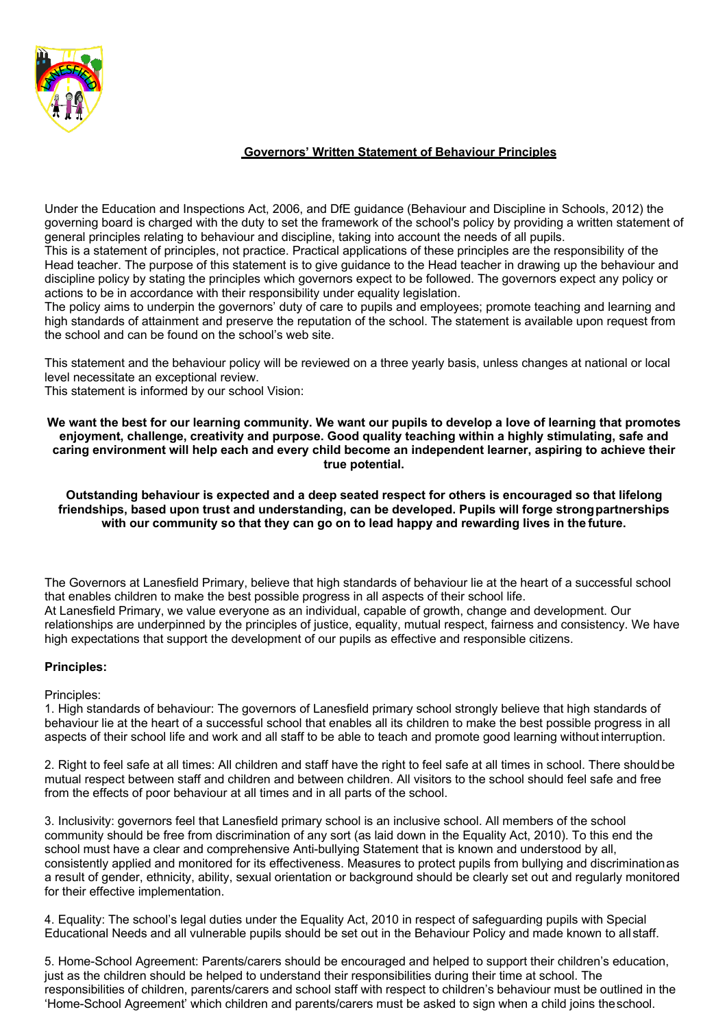

## **Governors' Written Statement of Behaviour Principles**

Under the Education and Inspections Act, 2006, and DfE guidance (Behaviour and Discipline in Schools, 2012) the governing board is charged with the duty to set the framework of the school's policy by providing a written statement of general principles relating to behaviour and discipline, taking into account the needs of all pupils.

This is a statement of principles, not practice. Practical applications of these principles are the responsibility of the Head teacher. The purpose of this statement is to give guidance to the Head teacher in drawing up the behaviour and discipline policy by stating the principles which governors expect to be followed. The governors expect any policy or actions to be in accordance with their responsibility under equality legislation.

The policy aims to underpin the governors' duty of care to pupils and employees; promote teaching and learning and high standards of attainment and preserve the reputation of the school. The statement is available upon request from the school and can be found on the school's web site.

This statement and the behaviour policy will be reviewed on a three yearly basis, unless changes at national or local level necessitate an exceptional review.

This statement is informed by our school Vision:

**We want the best for our learning community. We want our pupils to develop a love of learning that promotes enjoyment, challenge, creativity and purpose. Good quality teaching within a highly stimulating, safe and caring environment will help each and every child become an independent learner, aspiring to achieve their true potential.**

**Outstanding behaviour is expected and a deep seated respect for others is encouraged so that lifelong friendships, based upon trust and understanding, can be developed. Pupils will forge strongpartnerships with our community so that they can go on to lead happy and rewarding lives in the future.**

The Governors at Lanesfield Primary, believe that high standards of behaviour lie at the heart of a successful school that enables children to make the best possible progress in all aspects of their school life. At Lanesfield Primary, we value everyone as an individual, capable of growth, change and development. Our relationships are underpinned by the principles of justice, equality, mutual respect, fairness and consistency. We have high expectations that support the development of our pupils as effective and responsible citizens.

## **Principles:**

Principles:

1. High standards of behaviour: The governors of Lanesfield primary school strongly believe that high standards of behaviour lie at the heart of a successful school that enables all its children to make the best possible progress in all aspects of their school life and work and all staff to be able to teach and promote good learning without interruption.

2. Right to feel safe at all times: All children and staff have the right to feel safe at all times in school. There shouldbe mutual respect between staff and children and between children. All visitors to the school should feel safe and free from the effects of poor behaviour at all times and in all parts of the school.

3. Inclusivity: governors feel that Lanesfield primary school is an inclusive school. All members of the school community should be free from discrimination of any sort (as laid down in the Equality Act, 2010). To this end the school must have a clear and comprehensive Anti-bullying Statement that is known and understood by all, consistently applied and monitored for its effectiveness. Measures to protect pupils from bullying and discriminationas a result of gender, ethnicity, ability, sexual orientation or background should be clearly set out and regularly monitored for their effective implementation.

4. Equality: The school's legal duties under the Equality Act, 2010 in respect of safeguarding pupils with Special Educational Needs and all vulnerable pupils should be set out in the Behaviour Policy and made known to all staff.

5. Home-School Agreement: Parents/carers should be encouraged and helped to support their children's education, just as the children should be helped to understand their responsibilities during their time at school. The responsibilities of children, parents/carers and school staff with respect to children's behaviour must be outlined in the 'Home-School Agreement' which children and parents/carers must be asked to sign when a child joins theschool.